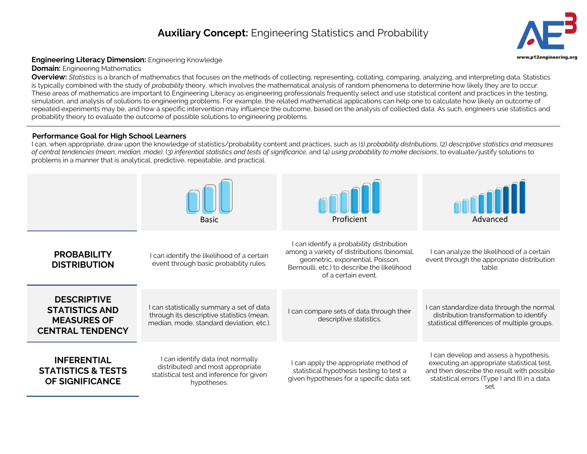## **Auxiliary Concept:** Engineering Statistics and Probability **3**



## **Engineering Literacy Dimension:** Engineering Knowledge **Engineering.org Community Community** Community Community Community Community Community Community Community Community Community Community Community Community Communit

**Domain:** Engineering Mathematics

**Overview:** *Statistics* is a branch of mathematics that focuses on the methods of collecting, representing, collating, comparing, analyzing, and interpreting data. Statistics is typically combined with the study of *probability* theory, which involves the mathematical analysis of random phenomena to determine how likely they are to occur. These areas of mathematics are important to Engineering Literacy as engineering professionals frequently select and use statistical content and practices in the testing, simulation, and analysis of solutions to engineering problems. For example, the related mathematical applications can help one to calculate how likely an outcome of repeated experiments may be, and how a specific intervention may influence the outcome, based on the analysis of collected data. As such, engineers use statistics and probability theory to evaluate the outcome of possible solutions to engineering problems.

## **Performance Goal for High School Learners**

I can, when appropriate, draw upon the knowledge of statistics/probability content and practices, such as (1) *probability distributions*, (2) *descriptive statistics and measures of central tendencies (mean, median, mode)*, (3) *inferential statistics and tests of significance*, and (4) *using probability to make decisions*, to evaluate/justify solutions to problems in a manner that is analytical, predictive, repeatable, and practical.

|                                                                                              | <b>Basic</b>                                                                                                                       | Proficient                                                                                                                                                                                         | Advanced                                                                                                                                                                                   |
|----------------------------------------------------------------------------------------------|------------------------------------------------------------------------------------------------------------------------------------|----------------------------------------------------------------------------------------------------------------------------------------------------------------------------------------------------|--------------------------------------------------------------------------------------------------------------------------------------------------------------------------------------------|
| <b>PROBABILITY</b><br><b>DISTRIBUTION</b>                                                    | I can identify the likelihood of a certain<br>event through basic probability rules.                                               | I can identify a probability distribution<br>among a variety of distributions (binomial,<br>geometric, exponential, Poisson,<br>Bernoulli, etc.) to describe the likelihood<br>of a certain event. | I can analyze the likelihood of a certain<br>event through the appropriate distribution<br>table.                                                                                          |
| <b>DESCRIPTIVE</b><br><b>STATISTICS AND</b><br><b>MEASURES OF</b><br><b>CENTRAL TENDENCY</b> | I can statistically summary a set of data<br>through its descriptive statistics (mean,<br>median, mode, standard deviation, etc.). | I can compare sets of data through their<br>descriptive statistics.                                                                                                                                | I can standardize data through the normal<br>distribution transformation to identify<br>statistical differences of multiple groups.                                                        |
| <b>INFERENTIAL</b><br><b>STATISTICS &amp; TESTS</b><br><b>OF SIGNIFICANCE</b>                | I can identify data (not normally<br>distributed) and most appropriate<br>statistical test and inference for given<br>hypotheses.  | I can apply the appropriate method of<br>statistical hypothesis testing to test a<br>given hypotheses for a specific data set.                                                                     | I can develop and assess a hypothesis,<br>executing an appropriate statistical test,<br>and then describe the result with possible<br>statistical errors (Type I and II) in a data<br>set. |